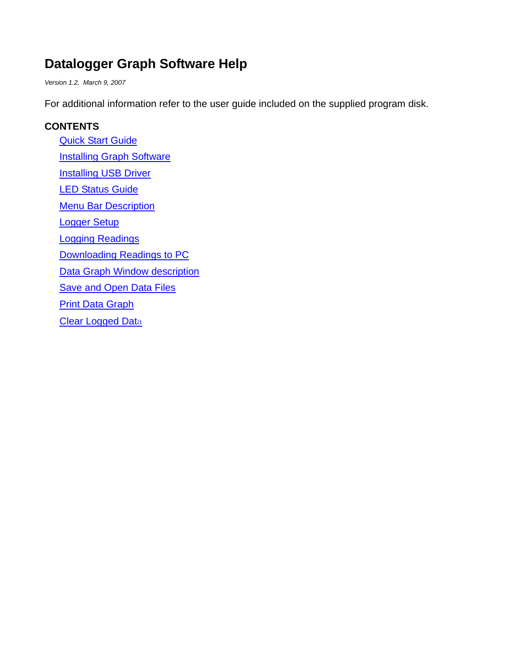# **Datalogger Graph Software Help**

*Version 1.2, March 9, 2007* 

For additional information refer to the user guide included on the supplied program disk.

# **CONTENTS**

[Quick Start Guide](#page-1-0) **[Installing Graph Software](#page-1-0) [Installing USB Driver](#page-1-0) [LED Status Guide](#page-2-0) [Menu Bar Description](#page-3-0)** [Logger Setup](#page-3-0) [Logging Readings](#page-4-0) [Downloading Readings to PC](#page-4-0) [Data Graph Window description](#page-5-0) **[Save and Open Data Files](#page-6-0) [Print Data Graph](#page-6-0) [Clear Logged Dat](#page-6-0)[a](#page-6-0)**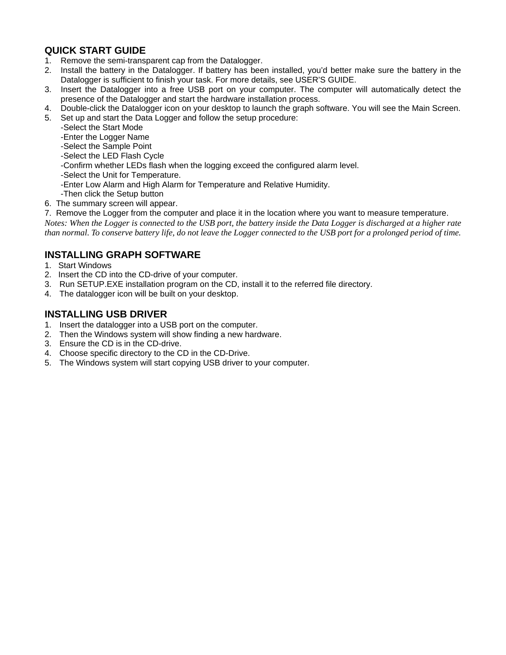# <span id="page-1-0"></span>**QUICK START GUIDE**

- 1. Remove the semi-transparent cap from the Datalogger.
- 2. Install the battery in the Datalogger. If battery has been installed, you'd better make sure the battery in the Datalogger is sufficient to finish your task. For more details, see USER'S GUIDE.
- 3. Insert the Datalogger into a free USB port on your computer. The computer will automatically detect the presence of the Datalogger and start the hardware installation process.
- 4. Double-click the Datalogger icon on your desktop to launch the graph software. You will see the Main Screen.
- 5. Set up and start the Data Logger and follow the setup procedure:
	- -Select the Start Mode
	- -Enter the Logger Name
	- -Select the Sample Point
	- -Select the LED Flash Cycle
	- -Confirm whether LEDs flash when the logging exceed the configured alarm level.
	- -Select the Unit for Temperature.
	- -Enter Low Alarm and High Alarm for Temperature and Relative Humidity.
	- -Then click the Setup button
- 6. The summary screen will appear.
- 7. Remove the Logger from the computer and place it in the location where you want to measure temperature.

*Notes: When the Logger is connected to the USB port, the battery inside the Data Logger is discharged at a higher rate than normal. To conserve battery life, do not leave the Logger connected to the USB port for a prolonged period of time.* 

# **INSTALLING GRAPH SOFTWARE**

- 1. Start Windows
- 2. Insert the CD into the CD-drive of your computer.
- 3. Run SETUP.EXE installation program on the CD, install it to the referred file directory.
- 4. The datalogger icon will be built on your desktop.

# **INSTALLING USB DRIVER**

- 1. Insert the datalogger into a USB port on the computer.
- 2. Then the Windows system will show finding a new hardware.
- 3. Ensure the CD is in the CD-drive.
- 4. Choose specific directory to the CD in the CD-Drive.
- 5. The Windows system will start copying USB driver to your computer.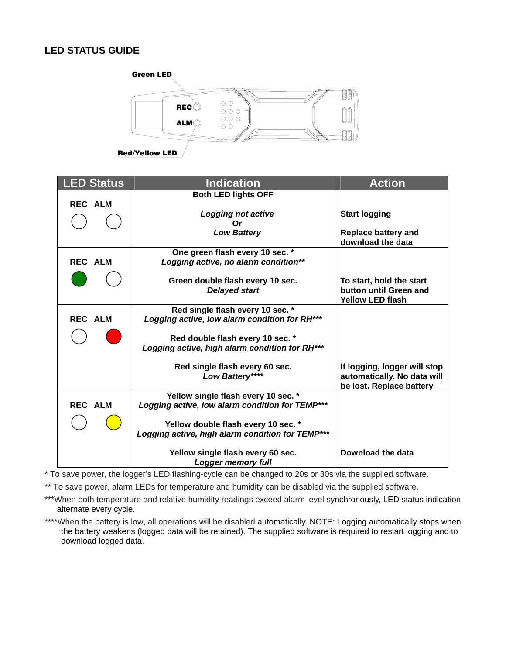# <span id="page-2-0"></span>**LED STATUS GUIDE**



| <b>LED Status</b> | <b>Indication</b>                                                                       | <b>Action</b>                                                                           |
|-------------------|-----------------------------------------------------------------------------------------|-----------------------------------------------------------------------------------------|
|                   | <b>Both LED lights OFF</b>                                                              |                                                                                         |
| <b>REC ALM</b>    |                                                                                         |                                                                                         |
|                   | <b>Logging not active</b><br>Or                                                         | <b>Start logging</b>                                                                    |
|                   | <b>Low Battery</b>                                                                      | <b>Replace battery and</b><br>download the data                                         |
|                   | One green flash every 10 sec. *                                                         |                                                                                         |
| <b>REC ALM</b>    | Logging active, no alarm condition**                                                    |                                                                                         |
|                   | Green double flash every 10 sec.<br><b>Delayed start</b>                                | To start, hold the start<br>button until Green and<br><b>Yellow LED flash</b>           |
|                   | Red single flash every 10 sec. *                                                        |                                                                                         |
| <b>REC ALM</b>    | Logging active, low alarm condition for RH***                                           |                                                                                         |
|                   | Red double flash every 10 sec. *<br>Logging active, high alarm condition for RH***      |                                                                                         |
|                   |                                                                                         |                                                                                         |
|                   | Red single flash every 60 sec.<br>Low Battery****                                       | If logging, logger will stop<br>automatically. No data will<br>be lost. Replace battery |
|                   | Yellow single flash every 10 sec. *                                                     |                                                                                         |
| <b>REC ALM</b>    | Logging active, low alarm condition for TEMP***                                         |                                                                                         |
|                   | Yellow double flash every 10 sec. *<br>Logging active, high alarm condition for TEMP*** |                                                                                         |
|                   | Yellow single flash every 60 sec.<br><b>Logger memory full</b>                          | Download the data                                                                       |

\* To save power, the logger's LED flashing-cycle can be changed to 20s or 30s via the supplied software.

\*\* To save power, alarm LEDs for temperature and humidity can be disabled via the supplied software.

\*\*\*When both temperature and relative humidity readings exceed alarm level synchronously, LED status indication alternate every cycle.

\*\*\*\*When the battery is low, all operations will be disabled automatically. NOTE: Logging automatically stops when the battery weakens (logged data will be retained). The supplied software is required to restart logging and to download logged data.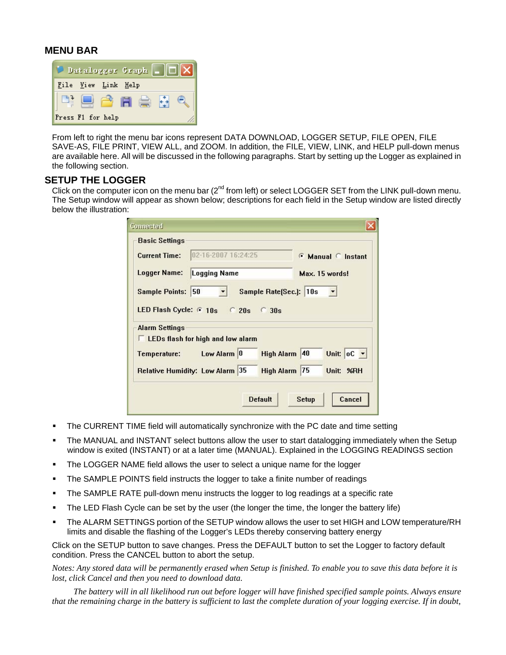#### <span id="page-3-0"></span>**MENU BAR**



From left to right the menu bar icons represent DATA DOWNLOAD, LOGGER SETUP, FILE OPEN, FILE SAVE-AS, FILE PRINT, VIEW ALL, and ZOOM. In addition, the FILE, VIEW, LINK, and HELP pull-down menus are available here. All will be discussed in the following paragraphs. Start by setting up the Logger as explained in the following section.

#### **SETUP THE LOGGER**

Click on the computer icon on the menu bar  $(2^{nd}$  from left) or select LOGGER SET from the LINK pull-down menu. The Setup window will appear as shown below; descriptions for each field in the Setup window are listed directly below the illustration:

| Connected                                   |                     |               |                           |  |  |
|---------------------------------------------|---------------------|---------------|---------------------------|--|--|
| <b>Basic Settings</b>                       |                     |               |                           |  |  |
| <b>Current Time:</b>                        | 02-16-2007 16:24:25 |               | <b>6 Manual C Instant</b> |  |  |
| Logger Name:                                | <b>Logging Name</b> |               | Max. 15 words!            |  |  |
| Sample Rate(Sec.): 10s<br>Sample Points: 50 |                     |               |                           |  |  |
| LED Flash Cycle: 6 10s C 20s                | $\bigcirc$ 30s      |               |                           |  |  |
| <b>Alarm Settings</b>                       |                     |               |                           |  |  |
| <b>LEDs flash for high and low alarm</b>    |                     |               |                           |  |  |
| Low Alarm 0<br>Temperature:                 |                     | High Alarm 40 | Unit: $oC$ $\rightarrow$  |  |  |
| Relative Humidity: Low Alarm 35             |                     | High Alarm 75 | Unit: %RH                 |  |  |
|                                             | <b>Default</b>      | <b>Setup</b>  | Cancel                    |  |  |
|                                             |                     |               |                           |  |  |

- The CURRENT TIME field will automatically synchronize with the PC date and time setting
- The MANUAL and INSTANT select buttons allow the user to start datalogging immediately when the Setup window is exited (INSTANT) or at a later time (MANUAL). Explained in the LOGGING READINGS section
- The LOGGER NAME field allows the user to select a unique name for the logger
- The SAMPLE POINTS field instructs the logger to take a finite number of readings
- The SAMPLE RATE pull-down menu instructs the logger to log readings at a specific rate
- The LED Flash Cycle can be set by the user (the longer the time, the longer the battery life)
- The ALARM SETTINGS portion of the SETUP window allows the user to set HIGH and LOW temperature/RH limits and disable the flashing of the Logger's LEDs thereby conserving battery energy

Click on the SETUP button to save changes. Press the DEFAULT button to set the Logger to factory default condition. Press the CANCEL button to abort the setup.

*Notes: Any stored data will be permanently erased when Setup is finished. To enable you to save this data before it is lost, click Cancel and then you need to download data.* 

 *The battery will in all likelihood run out before logger will have finished specified sample points. Always ensure that the remaining charge in the battery is sufficient to last the complete duration of your logging exercise. If in doubt,*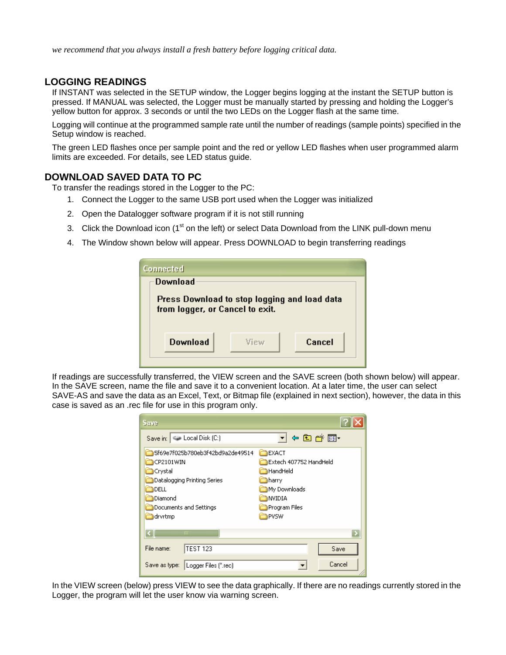<span id="page-4-0"></span>*we recommend that you always install a fresh battery before logging critical data.* 

### **LOGGING READINGS**

If INSTANT was selected in the SETUP window, the Logger begins logging at the instant the SETUP button is pressed. If MANUAL was selected, the Logger must be manually started by pressing and holding the Logger's yellow button for approx. 3 seconds or until the two LEDs on the Logger flash at the same time.

Logging will continue at the programmed sample rate until the number of readings (sample points) specified in the Setup window is reached.

The green LED flashes once per sample point and the red or yellow LED flashes when user programmed alarm limits are exceeded. For details, see LED status guide.

#### **DOWNLOAD SAVED DATA TO PC**

To transfer the readings stored in the Logger to the PC:

- 1. Connect the Logger to the same USB port used when the Logger was initialized
- 2. Open the Datalogger software program if it is not still running
- 3. Click the Download icon (1<sup>st</sup> on the left) or select Data Download from the LINK pull-down menu
- 4. The Window shown below will appear. Press DOWNLOAD to begin transferring readings

| <b>Connected</b>                                                                |      |        |  |  |  |  |
|---------------------------------------------------------------------------------|------|--------|--|--|--|--|
| Download                                                                        |      |        |  |  |  |  |
| Press Download to stop logging and load data<br>from logger, or Cancel to exit. |      |        |  |  |  |  |
| Download                                                                        | View | Cancel |  |  |  |  |

If readings are successfully transferred, the VIEW screen and the SAVE screen (both shown below) will appear. In the SAVE screen, name the file and save it to a convenient location. At a later time, the user can select SAVE-AS and save the data as an Excel, Text, or Bitmap file (explained in next section), however, the data in this case is saved as an .rec file for use in this program only.

| Save                                                                                                                                            |                                                                                                                                |  |
|-------------------------------------------------------------------------------------------------------------------------------------------------|--------------------------------------------------------------------------------------------------------------------------------|--|
| Save in: Cocal Disk (C:)                                                                                                                        | ▾▏ゃ๛๙๏                                                                                                                         |  |
| 5f69e7f025b780eb3f42bd9a2de49514<br>CP2101WIN<br>Crystal<br>Datalogging Printing Series<br>DELL<br>Diamond<br>Documents and Settings<br>drvrtmp | <b>EXACT</b><br>Extech 407752 HandHeld<br>HandHeld<br>harry<br>My Downloads<br><b>INVIDIA</b><br>Program Files<br><b>IPVSW</b> |  |
| Ш                                                                                                                                               |                                                                                                                                |  |
| <b>TEST 123</b><br>File name:                                                                                                                   | Save                                                                                                                           |  |
| Save as type:<br>Logger Files (*.rec)                                                                                                           | Cancel                                                                                                                         |  |

In the VIEW screen (below) press VIEW to see the data graphically. If there are no readings currently stored in the Logger, the program will let the user know via warning screen.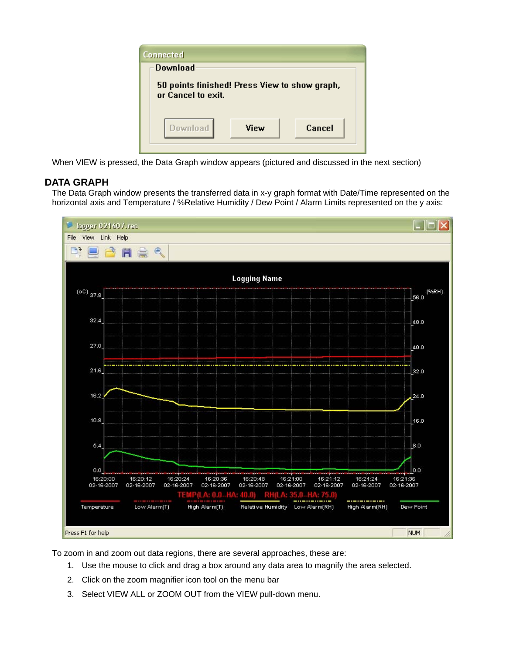<span id="page-5-0"></span>

When VIEW is pressed, the Data Graph window appears (pictured and discussed in the next section)

# **DATA GRAPH**

The Data Graph window presents the transferred data in x-y graph format with Date/Time represented on the horizontal axis and Temperature / %Relative Humidity / Dew Point / Alarm Limits represented on the y axis:



To zoom in and zoom out data regions, there are several approaches, these are:

- 1. Use the mouse to click and drag a box around any data area to magnify the area selected.
- 2. Click on the zoom magnifier icon tool on the menu bar
- 3. Select VIEW ALL or ZOOM OUT from the VIEW pull-down menu.